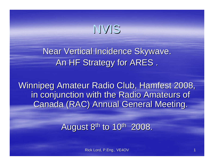NVIS

Near Vertical Incidence Skywave. An HF Strategy for ARES.

Winnipeg Amateur Radio Club, Hamfest 2008, in conjunction with the Radio Amateurs of **Canada (RAC) Annual General Meeting.** 

August  $8<sup>th</sup>$  to  $10<sup>th</sup>$  2008.

Rick Lord, P.Eng., VE4OV 1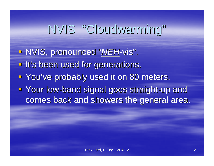# NVIS "Cloudwarming Cloudwarming"

■ NVIS, pronounced "<u>NEH</u>-vis". **- It's been used for generations. - You've probably used it on 80 meters. - Your low-band signal goes straight-up and signal goes straight-up and signal signal signal straight-up and a** comes back and showers the general area.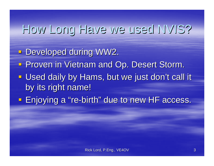### How Long Have we used NVIS?

- **Developed during WW2.**
- **Proven in Vietnam and Op. Desert Storm.**
- **Used daily by Hams, but we just don't call it** by its right name!
- **Enjoying a "re-birth" due to new HF access.**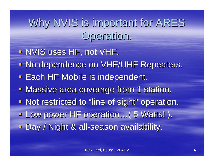Why NVIS is important for ARES Operation. Operation.

- **NVIS uses HF, not VHF.**
- No dependence on VHF/UHF Repeaters.
- **Each HF Mobile is independent.**
- **Massive area coverage from 1 station.**
- Not restricted to "line of sight" operation.
- **Low power HF operation…( 5 Watts!).**
- Day / Night & all-season availability.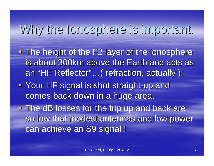### Why the Ionosphere is important. Why the Ionosphere is important.

- **The height of the F2 layer of the ionosphere** is about 300km above the Earth and acts as an "HF Reflector"...( refraction, actually ).
- **Your HF signal is shot straight-up and** comes back down in a huge area.

 $\blacksquare$  The dB losses for the trip up and back are so low that modest antennas and low power can achieve an S9 signal !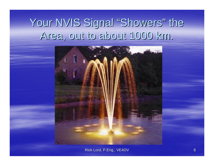#### Your NVIS Signal "Showers" the Area, out to about 1000 km. Area, out to about 1000 km.



Rick Lord, P.Eng., VE4OV 6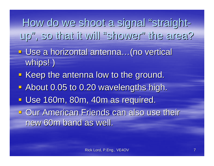How do we shoot a signal "straightup", so that it will "shower" the area?

- Use a horizontal antenna…(no vertical whips!)
- Keep the antenna low to the ground.
- **About 0.05 to 0.20 wavelengths high.**
- **Use 160m, 80m, 40m as required.**
- **Dur American Friends can also use their** new 60m band as well.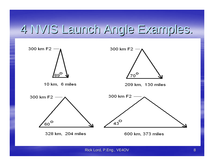#### 4 NVIS Launch Angle Examples. 4 NVIS Launch Angle Examples.

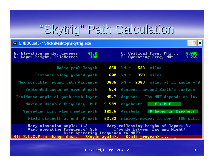### "Skytrig" Path Calculation

11DichMoektonleheteig ave

| <b>C. C. MACCOME.</b> I MACK MESKIND BRATTIE'S EVE                                                                                                                         | - - - -        |  |  |  |  |
|----------------------------------------------------------------------------------------------------------------------------------------------------------------------------|----------------|--|--|--|--|
| 43.0<br>E. Elevation angle, degrees<br>C. Critical freq. MHz<br>L. Layer height, KiloMetres<br>300.<br>F. Operating freq. MHz.                                             | 4.000<br>3.765 |  |  |  |  |
| $km = 533$<br>Radio path length<br>858<br>miles                                                                                                                            |                |  |  |  |  |
| 600<br>373<br>Distance along ground path<br>$kM =$<br>miles                                                                                                                |                |  |  |  |  |
| 3836 kM = $2383$ miles at El-angle = 0<br>Max possible ground path distance                                                                                                |                |  |  |  |  |
| 5.4 degrees, around Earth's surface<br>Subtended angle of ground path                                                                                                      |                |  |  |  |  |
| degrees. The MUF depends on it.<br>Incidence angle of path with layer<br>45.7 L                                                                                            |                |  |  |  |  |
| F < MUF<br>Maximum Useable Frequency, MUF<br>5.589<br>megahertz                                                                                                            |                |  |  |  |  |
| D-Layer in Darkness<br>Spreading Loss along radio path<br>102.6<br>decibels                                                                                                |                |  |  |  |  |
| $63.83$ micro-U/metre. Ix pwr = 100 watts<br>Field strength at end of path                                                                                                 |                |  |  |  |  |
| Vary elevation angle: $1,2$<br>Uary reflecting height of layer: 3,4<br>Uary operating frequency: 5,6<br>T(oggle between Day and Night)<br>S(et operating frequency to MUF) |                |  |  |  |  |
| Hit $E, L, C, F$ to change data. B(egin again), Q(uit program)                                                                                                             |                |  |  |  |  |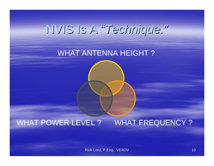### NVIS Is A NVIS Is A "*Technique. Technique."*

#### WHAT ANTENNA HEIGHT ?

#### WHAT POWER LEVEL ? WHAT FREQUENCY ?

Rick Lord, P.Eng., VE4OV 10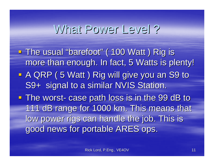#### What Power Level?

**- The usual "barefoot" ( 100 Watt ) Rig is** more than enough. In fact, 5 Watts is plenty! **A QRP (5 Watt) Rig will give you an S9 to** S9+ signal to a similar NVIS Station. **The worst- case path loss is in the 99 dB to** 111 dB range for 1000 km. This means that low power rigs can handle the job. This is good news for portable ARES ops.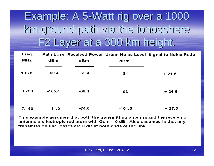### Example: A 5-Watt rig over a 1000 km ground path via the ionosphere km ground path via the ionosphere F2 Layer at a 300 km height. F2 Layer at a 300 km height.

| Freq.<br>MHz | dBm      | dBm     | dBm      | Path Loss Received Power Urban Noise Level Signal to Noise Ratio |
|--------------|----------|---------|----------|------------------------------------------------------------------|
| 1.875        | $-99.4$  | $-62.4$ | -84      | $+21.6$                                                          |
| 3.750        | $-105.4$ | $-68.4$ | -93      | $+24.6$                                                          |
| 7.150        | $-111.0$ | $-74.0$ | $-101.5$ | $+27.5$                                                          |

This example assumes that both the transmitting antenna and the receiving antenna are isotropic radiators with Gain = 0 dBi. Also assumed is that any transmission line losses are 0 dB at both ends of the link.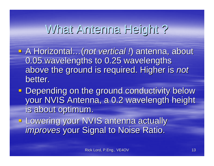#### What Antenna Height?

- **A Horizontal...(not vertical !) antenna, about** 0.05 wavelengths to 0.25 wavelengths above the ground is required. Higher is above the ground is required. Higher is *not* better.
- **Depending on the ground conductivity below** your NVIS Antenna, a 0.2 wavelength height is about optimum.
- **Lowering your NVIS antenna actually** *improves* your Signal to Noise Ratio.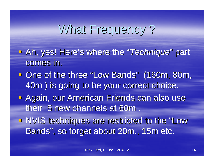### What Frequency?

- **Ah, yes! Here's where the "***Technique***" part** comes in.
- One of the three "Low Bands" (160m, 80m, 160m, 160m, 160m, 160m, 160m, 160m, 160m, 160m, 160m, 160m, 160m, 160 40m) is going to be your correct choice.
- **Again, our American Friends can also use** their 5 new channels at 60m.
- NVIS techniques are restricted to the "Low Bands", so forget about 20m., 15m etc.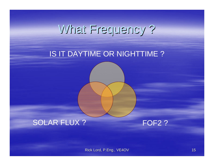# What Frequency ? What Frequency ?

#### IS IT DAYTIME OR NIGHTTIME ?

#### SOLAR FLUX ?

FOF<sub>2</sub>?

Rick Lord, P.Eng., VE4OV 15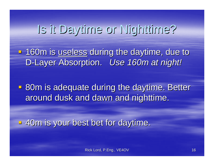### Is it Daytime or Nighttime?

- 160m is useless during the daytime, due to D-Layer Absorption. Use 160m at night!

**- 80m is adequate during the daytime. Better** around dusk and dawn and nighttime.

**40m is your best bet for daytime.**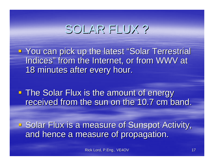#### SOLAR FLUX?

**Fiatary You can pick up the latest "Solar Terrestrial Identify** Indices" from the Internet, or from WWV at 18 minutes after every hour.

**The Solar Flux is the amount of energy** received from the sun on the 10.7 cm band.

**Solar Flux is a measure of Sunspot Activity,** and hence a measure of propagation.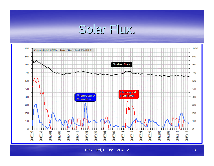#### Solar Flux.



Rick Lord, P.Eng., VE4OV 18 and 18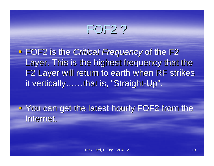#### FOF2 ?

**FOF2** is the *Critical Frequency* of the F2 Layer. This is the highest frequency that the F2 Layer will return to earth when RF strikes it vertically……that is, "Straight-Up".

**The You can get the latest hourly FOF2 from the Vou can get the latest hourly FOF2 from the** Internet.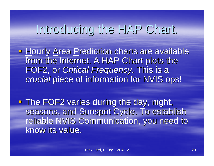#### Introducing the HAP Chart. Introducing the HAP Chart.

- **Hourly Area Prediction charts are available** from the Internet. A HAP Chart plots the FOF2, or *Critical Frequency*. This is a *crucial* piece of information for NVIS ops!
- **The FOF2 varies during the day, night,** seasons, and Sunspot Cycle. To establish reliable NVIS Communication, you need to know its value.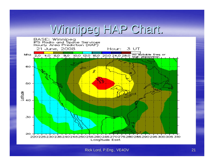### Winnipeg HAP Chart. Winnipeg HAP Chart.

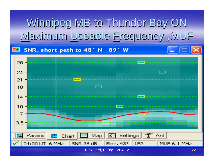### Winnipeg MB to Thunder Bay ON Maximum Useable Frequency, MUF

#### SNR, short path to 48° N 89° W

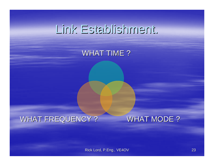### Link Establishment.

#### WHAT TIME ?

#### WHAT FREQUENCY ? WHAT MODE ?

Rick Lord, P.Eng., VE4OV 23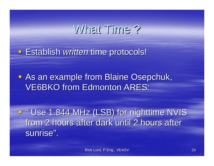#### What Time?

**Establish** *written* **time protocols!** 

**- As an example from Blaine Osepchuk, VE6BKO from Edmonton ARES:** 

■ " Use 1.844 MHz (LSB) for nighttime NVIS from 2 hours after dark until 2 hours after sunrise".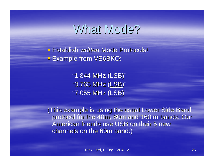#### What Mode?

**Establish** *written* **Mode Protocols! Example from VE6BKO:** 

> "1.844 MHz (LSB)" "3.765 MHz (LSB)" "7.055 MHz (LSB)"

(This example is using the usual Lower Side Band (This example is using the usual Lower Side Band protocol for the 40m, 80m and 160 m bands. Our American friends use USB on their 5 new channels on the 60m band.)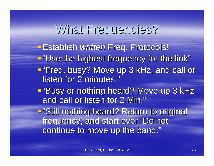#### What Frequencies?

**- Establish** *written* **Freq. Protocols!** 

"Use the highest frequency for the link"

- "Freq. busy? Move up 3 kHz, and call or Freq. busy? Move up 3 kHz, and call or listen for 2 minutes."
- "Busy or nothing heard? Move up 3 kHz and call or listen for 2 Min."

■"Still nothing heard? Return to original frequency, and start over. Do not continue to move up the band."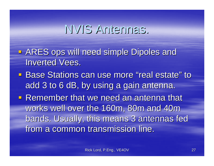#### NVIS Antennas. NVIS Antennas.

- **ARES ops will need simple Dipoles and Inverted Vees.**
- **Base Stations can use more "real estate" to use State Formate Formate Formate Formate real estate real estate** add 3 to 6 dB, by using a gain antenna.
- **Remember that we need an antenna that** works well over the 160m, 80m and 40m bands. Usually, this means 3 antennas fed from a common transmission line.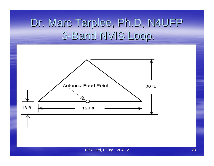#### Dr. Marc Tarplee, Ph.D, N4UFP 3-Band NVIS Loop.

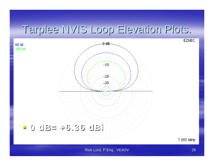#### Tarplee NVIS Loop Elevation Plots.



7.055 MHz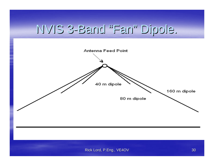#### NVIS 3-Band "Fan"Dipole. Dipole.

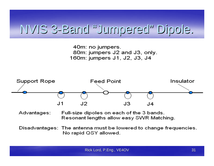#### NVIS 3-Band "Jumpered Jumpered"Dipole. Dipole.

40m: no jumpers. 80m: jumpers J2 and J3, only. 160m: jumpers J1, J2, J3, J4



- Advantages: Full-size dipoles on each of the 3 bands. Resonant lengths allow easy SWR Matching.
- Disadvantages: The antenna must be lowered to change frequencies. No rapid QSY allowed.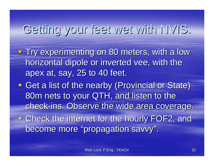# Getting your feet wet with NVIS. Getting your feet wet with NVIS.

- Try experimenting on 80 meters, with a low horizontal dipole or inverted vee, with the apex at, say, 25 to 40 feet.
- Get a list of the nearby (Provincial or State) 80m nets to your QTH, and listen to the check-ins. Observe the wide area coverage. **Example 2 Check the internet for the hourly FOF2, and** become more "propagation savvy".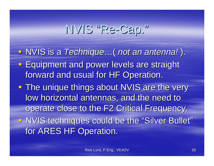# NVIS "Re-Cap."

- **E** NVIS is a *Technique ... ( not an antenna! ).*
- **Equipment and power levels are straight** forward and usual for HF Operation.
- **The unique things about NVIS are the very The unique things about NVIS are the very** low horizontal antennas, and the need to operate close to the F2 Critical Frequency. In NVIS techniques could be the "Silver Bullet" for ARES HF Operation.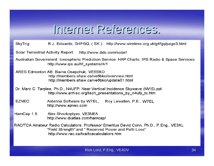#### Internet References. Internet References.

SkyTrig: R.J. Edwards, G4FGQ, (SK): http://www.wireless.org.uk/g4fgq/page3.html

Solar Terrestrial Activity Report: http://www.dxlc.com/solar/

Australian Government: Ionospheric Prediction Service: HAP Charts: IPS Radio & Space Services http://www.ips.au/hf systems/4/1

ARES Edmonton AB: Blaine Osepchuk, VE6BKO http://members.shaw.ca/ve6bko/overview.html http://members.shaw.ca/ve6bko/update01.html

Dr. Marc C. Tarplee, Ph.D., N4UFP: Near Vertical Incidence Skywave (NVIS).ppt http://www.arrl-sc.org/tech\_presentations\_by\_n4ufp\_tc.htm

- EZNEC: Antenna Software by W7EL. Roy Lewallen, P.E., W7EL http://www.eznec.com
- HamCap 1.5 Alex Shovkoplyas, VE3NEA http://www.dxatlas.com/hamcap/
- RAC/TCA Amateur Radio Calculators: Professor Emeritus David Conn, Ph.D., P.Eng., VE3KL "Field Strength" and " Received Power and Path Loss" http://www.rac.ca/tca/tcacalculators.htm